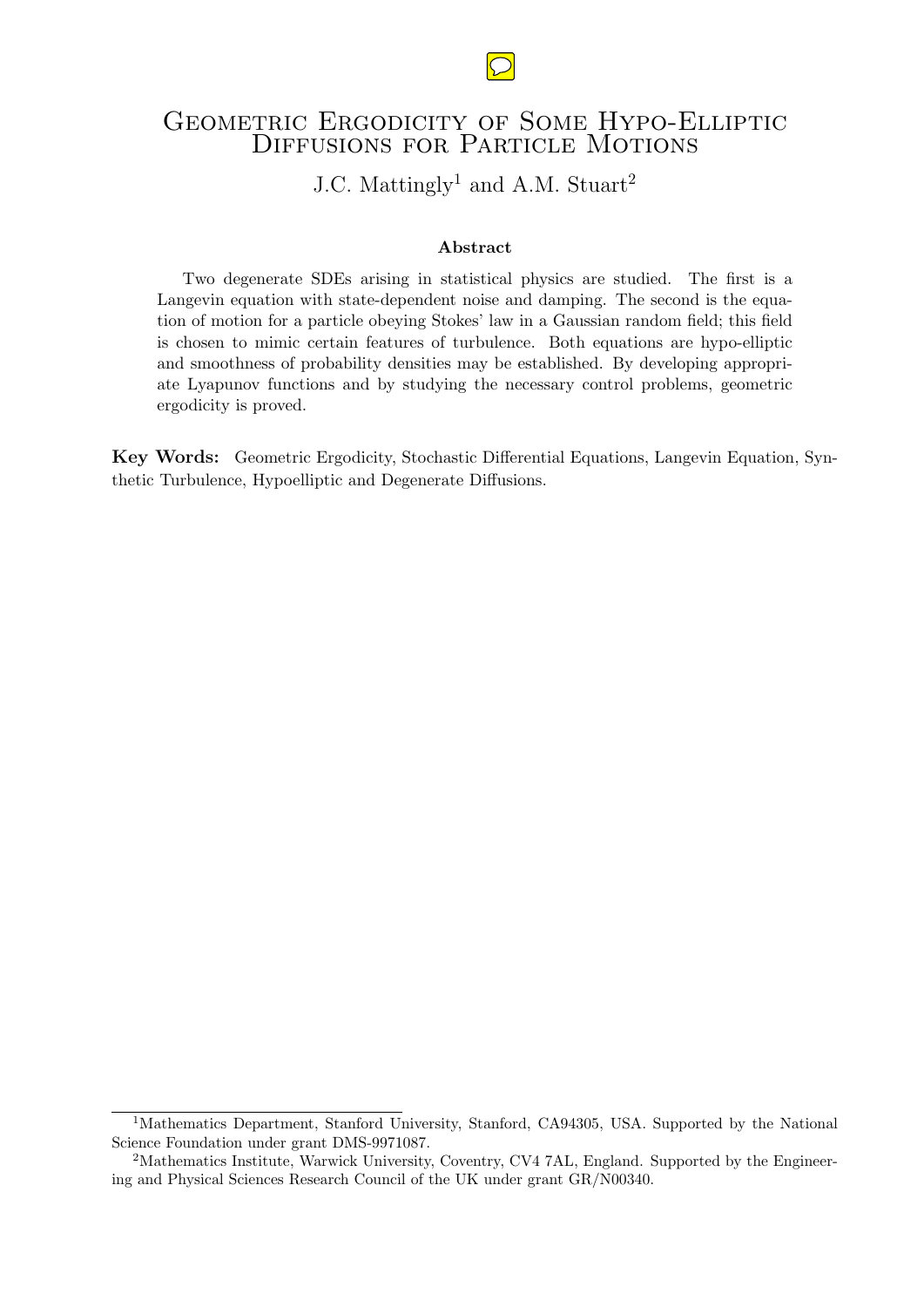## GEOMETRIC ERGODICITY OF SOME HYPO-ELLIPTIC DIFFUSIONS FOR PARTICLE MOTIONS

# J.C. Mattingly<sup>1</sup> and A.M. Stuart<sup>2</sup>

#### Abstract

Two degenerate SDEs arising in statistical physics are studied. The first is a Langevin equation with state-dependent noise and damping. The second is the equation of motion for a particle obeying Stokes' law in a Gaussian random field; this field is chosen to mimic certain features of turbulence. Both equations are hypo-elliptic and smoothness of probability densities may be established. By developing appropriate Lyapunov functions and by studying the necessary control problems, geometric ergodicity is proved.

Key Words: Geometric Ergodicity, Stochastic Differential Equations, Langevin Equation, Synthetic Turbulence, Hypoelliptic and Degenerate Diffusions.



<sup>&</sup>lt;sup>1</sup>Mathematics Department, Stanford University, Stanford, CA94305, USA. Supported by the National Science Foundation under grant DMS-9971087.

<sup>&</sup>lt;sup>2</sup>Mathematics Institute, Warwick University, Coventry, CV4 7AL, England. Supported by the Engineering and Physical Sciences Research Council of the UK under grant GR/N00340.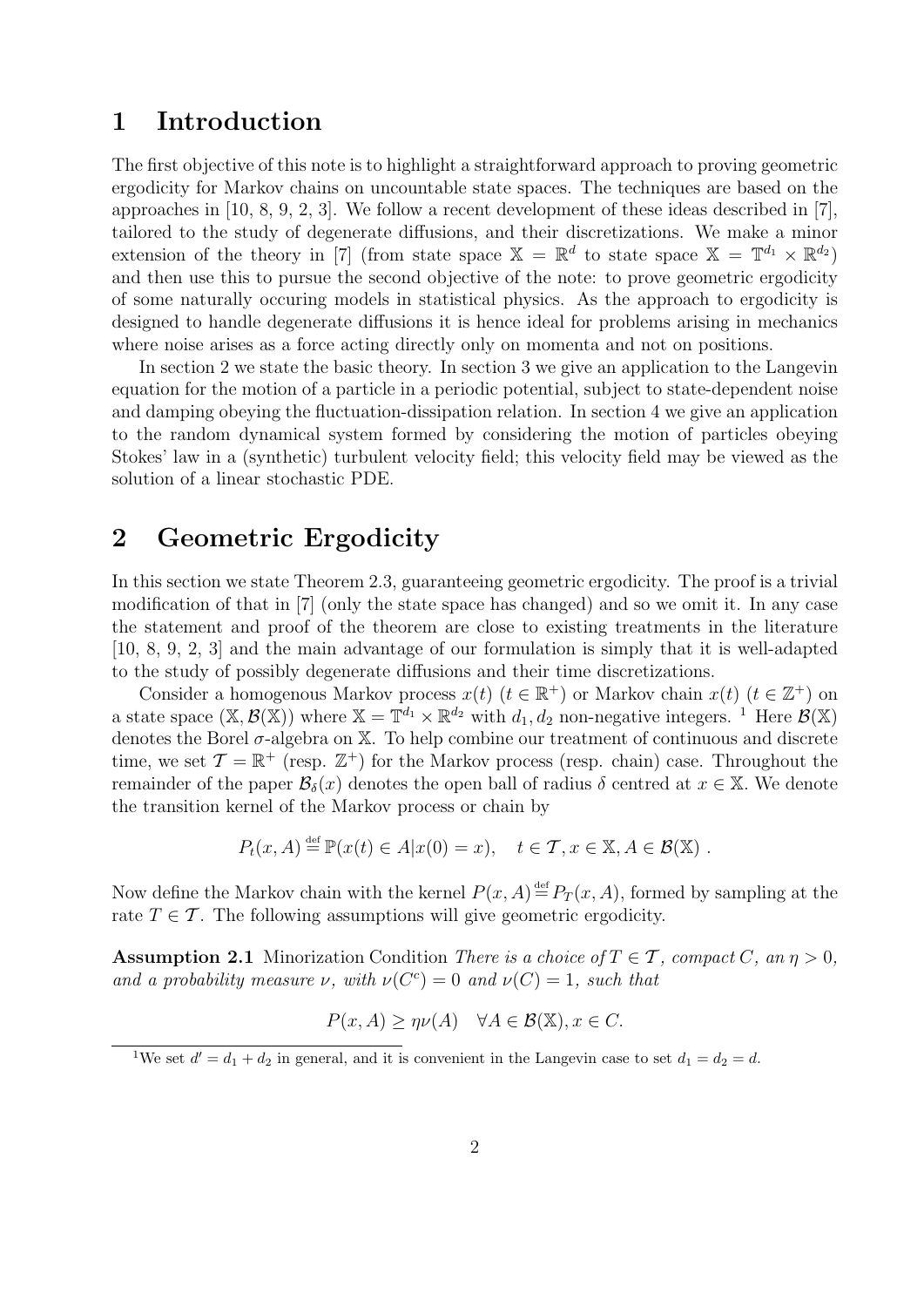## 1 Introduction

The first objective of this note is to highlight a straightforward approach to proving geometric ergodicity for Markov chains on uncountable state spaces. The techniques are based on the approaches in [10, 8, 9, 2, 3]. We follow a recent development of these ideas described in [7], tailored to the study of degenerate diffusions, and their discretizations. We make a minor extension of the theory in [7] (from state space  $X = \mathbb{R}^d$  to state space  $X = \mathbb{T}^{d_1} \times \mathbb{R}^{d_2}$ ) and then use this to pursue the second objective of the note: to prove geometric ergodicity of some naturally occuring models in statistical physics. As the approach to ergodicity is designed to handle degenerate diffusions it is hence ideal for problems arising in mechanics where noise arises as a force acting directly only on momenta and not on positions.

In section 2 we state the basic theory. In section 3 we give an application to the Langevin equation for the motion of a particle in a periodic potential, subject to state-dependent noise and damping obeying the fluctuation-dissipation relation. In section 4 we give an application to the random dynamical system formed by considering the motion of particles obeying Stokes' law in a (synthetic) turbulent velocity field; this velocity field may be viewed as the solution of a linear stochastic PDE.

# 2 Geometric Ergodicity

In this section we state Theorem 2.3, guaranteeing geometric ergodicity. The proof is a trivial modification of that in [7] (only the state space has changed) and so we omit it. In any case the statement and proof of the theorem are close to existing treatments in the literature [10, 8, 9, 2, 3] and the main advantage of our formulation is simply that it is well-adapted to the study of possibly degenerate diffusions and their time discretizations.

Consider a homogenous Markov process  $x(t)$   $(t \in \mathbb{R}^+)$  or Markov chain  $x(t)$   $(t \in \mathbb{Z}^+)$  on a state space  $(\mathbb{X}, \mathcal{B}(\mathbb{X}))$  where  $\mathbb{X} = \mathbb{T}^{d_1} \times \mathbb{R}^{d_2}$  with  $d_1, d_2$  non-negative integers. <sup>1</sup> Here  $\mathcal{B}(\mathbb{X})$ denotes the Borel  $\sigma$ -algebra on X. To help combine our treatment of continuous and discrete time, we set  $\mathcal{T} = \mathbb{R}^+$  (resp.  $\mathbb{Z}^+$ ) for the Markov process (resp. chain) case. Throughout the remainder of the paper  $\mathcal{B}_{\delta}(x)$  denotes the open ball of radius  $\delta$  centred at  $x \in \mathbb{X}$ . We denote the transition kernel of the Markov process or chain by

$$
P_t(x, A) \stackrel{\text{def}}{=} \mathbb{P}(x(t) \in A | x(0) = x), \quad t \in \mathcal{T}, x \in \mathbb{X}, A \in \mathcal{B}(\mathbb{X}) .
$$

Now define the Markov chain with the kernel  $P(x, A) \stackrel{\text{def}}{=} P_T(x, A)$ , formed by sampling at the rate  $T \in \mathcal{T}$ . The following assumptions will give geometric ergodicity.

**Assumption 2.1** Minorization Condition There is a choice of  $T \in \mathcal{T}$ , compact C, an  $\eta > 0$ , and a probability measure  $\nu$ , with  $\nu(C^c) = 0$  and  $\nu(C) = 1$ , such that

$$
P(x, A) \ge \eta \nu(A) \quad \forall A \in \mathcal{B}(\mathbb{X}), x \in C.
$$

<sup>&</sup>lt;sup>1</sup>We set  $d' = d_1 + d_2$  in general, and it is convenient in the Langevin case to set  $d_1 = d_2 = d$ .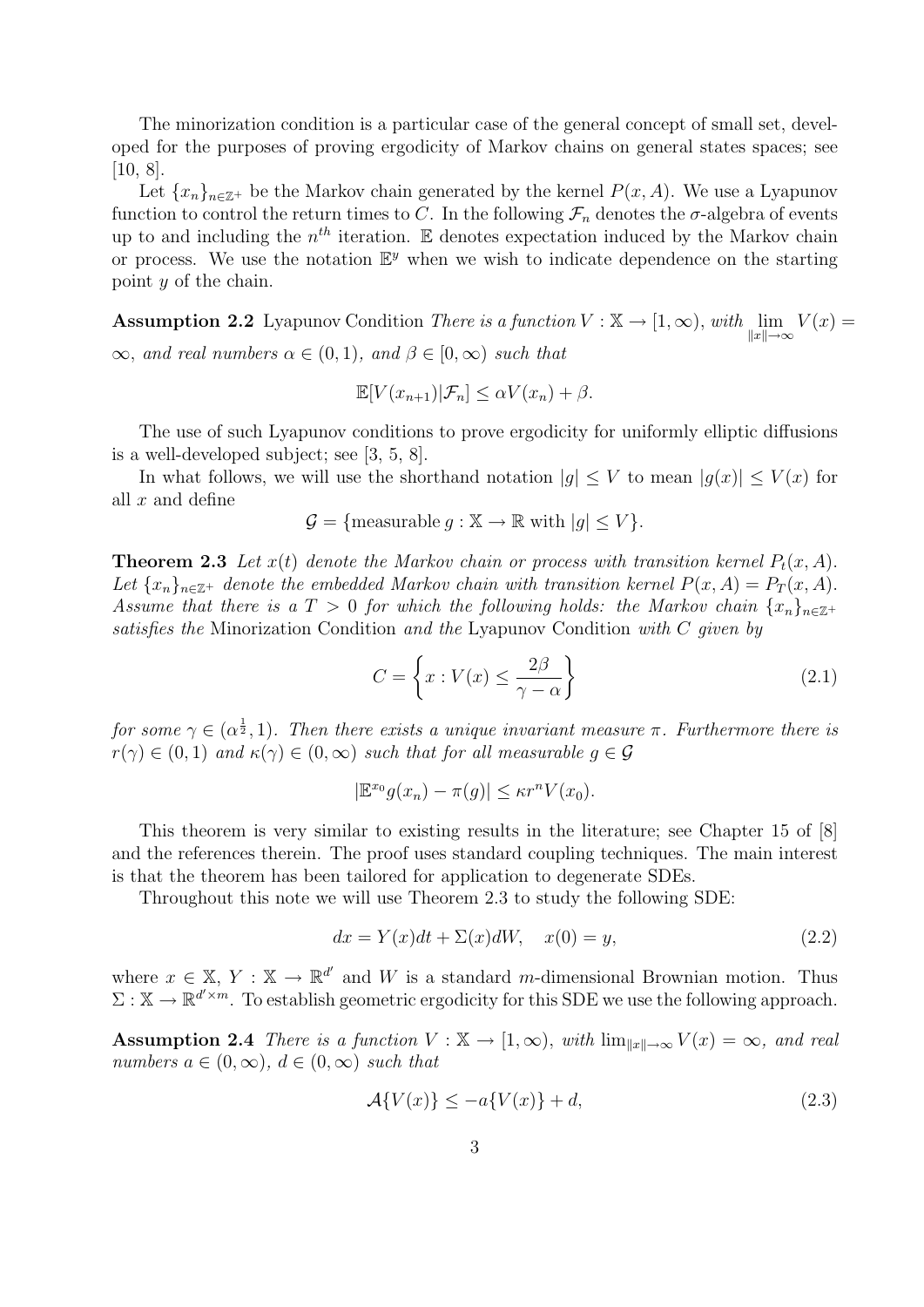The minorization condition is a particular case of the general concept of small set, developed for the purposes of proving ergodicity of Markov chains on general states spaces; see [10, 8].

Let  ${x_n}_{n\in\mathbb{Z}^+}$  be the Markov chain generated by the kernel  $P(x, A)$ . We use a Lyapunov function to control the return times to C. In the following  $\mathcal{F}_n$  denotes the  $\sigma$ -algebra of events up to and including the  $n^{th}$  iteration. E denotes expectation induced by the Markov chain or process. We use the notation  $\mathbb{E}^y$  when we wish to indicate dependence on the starting point y of the chain.

**Assumption 2.2** Lyapunov Condition There is a function  $V : \mathbb{X} \to [1, \infty)$ , with  $\lim_{\|x\| \to \infty} V(x) =$  $\infty$ , and real numbers  $\alpha \in (0,1)$ , and  $\beta \in [0,\infty)$  such that

$$
\mathbb{E}[V(x_{n+1})|\mathcal{F}_n] \le \alpha V(x_n) + \beta.
$$

The use of such Lyapunov conditions to prove ergodicity for uniformly elliptic diffusions is a well-developed subject; see [3, 5, 8].

In what follows, we will use the shorthand notation  $|g| \leq V$  to mean  $|g(x)| \leq V(x)$  for all  $x$  and define

$$
\mathcal{G} = \{ \text{measurable } g : \mathbb{X} \to \mathbb{R} \text{ with } |g| \le V \}.
$$

**Theorem 2.3** Let  $x(t)$  denote the Markov chain or process with transition kernel  $P_t(x, A)$ . Let  ${x_n}_{n \in \mathbb{Z}^+}$  denote the embedded Markov chain with transition kernel  $P(x, A) = P_T(x, A)$ . Assume that there is a  $T > 0$  for which the following holds: the Markov chain  $\{x_n\}_{n \in \mathbb{Z}^+}$ satisfies the Minorization Condition and the Lyapunov Condition with C given by

$$
C = \left\{ x : V(x) \le \frac{2\beta}{\gamma - \alpha} \right\}
$$
 (2.1)

for some  $\gamma \in (\alpha^{\frac{1}{2}}, 1)$ . Then there exists a unique invariant measure  $\pi$ . Furthermore there is  $r(\gamma) \in (0,1)$  and  $\kappa(\gamma) \in (0,\infty)$  such that for all measurable  $q \in \mathcal{G}$ 

$$
|\mathbb{E}^{x_0}g(x_n)-\pi(g)| \leq \kappa r^n V(x_0).
$$

This theorem is very similar to existing results in the literature; see Chapter 15 of [8] and the references therein. The proof uses standard coupling techniques. The main interest is that the theorem has been tailored for application to degenerate SDEs.

Throughout this note we will use Theorem 2.3 to study the following SDE:

$$
dx = Y(x)dt + \Sigma(x)dW, \quad x(0) = y,\tag{2.2}
$$

where  $x \in \mathbb{X}, Y : \mathbb{X} \to \mathbb{R}^{d'}$  and W is a standard m-dimensional Brownian motion. Thus  $\Sigma : \mathbb{X} \to \mathbb{R}^{d' \times m}$ . To establish geometric ergodicity for this SDE we use the following approach.

Assumption 2.4 There is a function  $V : \mathbb{X} \to [1,\infty)$ , with  $\lim_{||x|| \to \infty} V(x) = \infty$ , and real numbers  $a \in (0, \infty)$ ,  $d \in (0, \infty)$  such that

$$
\mathcal{A}\{V(x)\} \le -a\{V(x)\} + d,\tag{2.3}
$$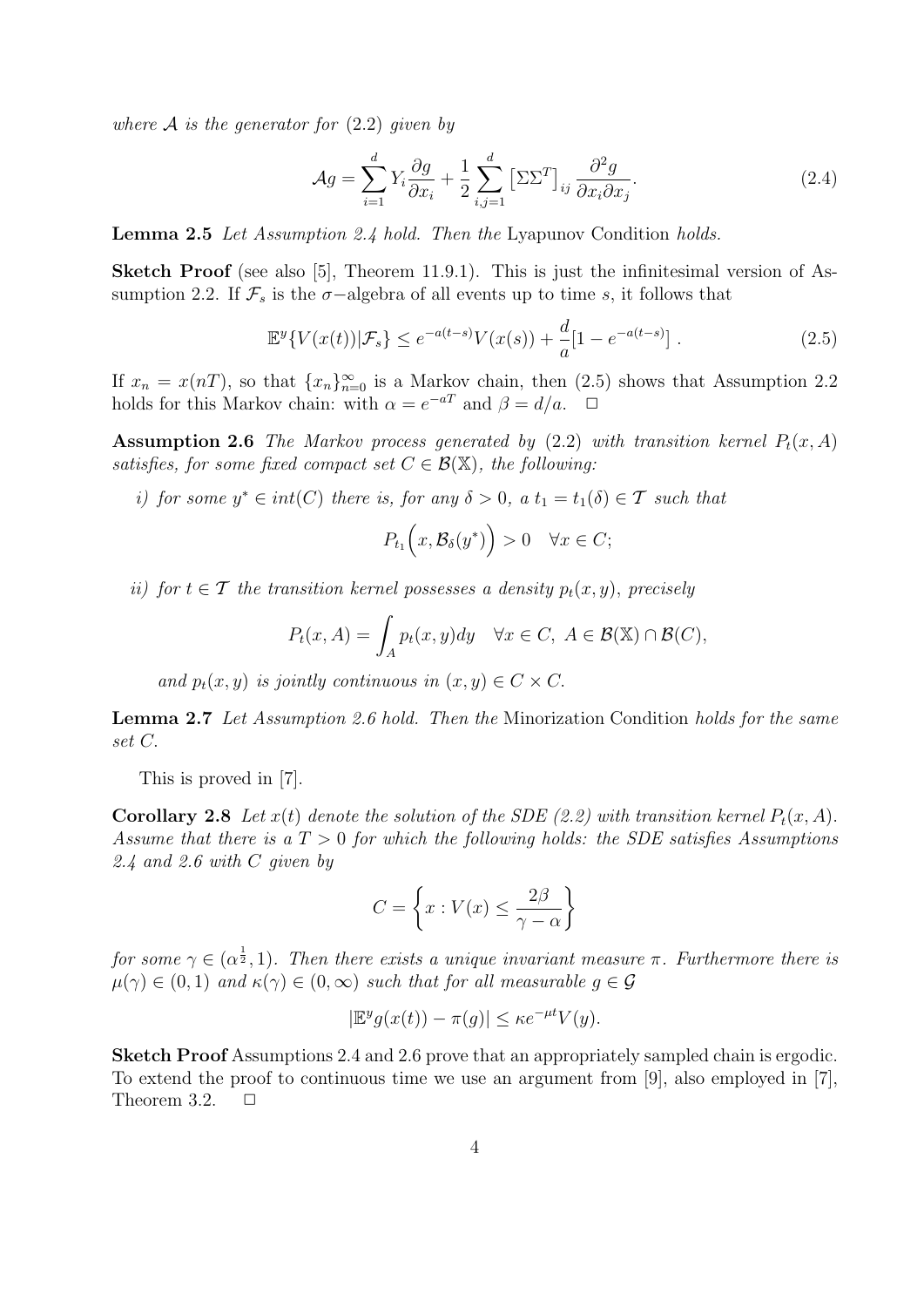where  $A$  is the generator for  $(2.2)$  given by

$$
\mathcal{A}g = \sum_{i=1}^{d} Y_i \frac{\partial g}{\partial x_i} + \frac{1}{2} \sum_{i,j=1}^{d} \left[ \Sigma \Sigma^{T} \right]_{ij} \frac{\partial^2 g}{\partial x_i \partial x_j}.
$$
 (2.4)

Lemma 2.5 Let Assumption 2.4 hold. Then the Lyapunov Condition holds.

Sketch Proof (see also [5], Theorem 11.9.1). This is just the infinitesimal version of Assumption 2.2. If  $\mathcal{F}_s$  is the  $\sigma$ -algebra of all events up to time s, it follows that

$$
\mathbb{E}^{y}\{V(x(t))|\mathcal{F}_{s}\} \le e^{-a(t-s)}V(x(s)) + \frac{d}{a}[1 - e^{-a(t-s)}].
$$
\n(2.5)

If  $x_n = x(n)$ , so that  $\{x_n\}_{n=0}^{\infty}$  is a Markov chain, then  $(2.5)$  shows that Assumption 2.2 holds for this Markov chain: with  $\alpha = e^{-aT}$  and  $\beta = d/a$ .  $\Box$ 

Assumption 2.6 The Markov process generated by (2.2) with transition kernel  $P_t(x, A)$ satisfies, for some fixed compact set  $C \in \mathcal{B}(\mathbb{X})$ , the following:

i) for some  $y^* \in int(C)$  there is, for any  $\delta > 0$ , a  $t_1 = t_1(\delta) \in \mathcal{T}$  such that

$$
P_{t_1}\Big(x,\mathcal{B}_{\delta}(y^*)\Big) > 0 \quad \forall x \in C;
$$

ii) for  $t \in \mathcal{T}$  the transition kernel possesses a density  $p_t(x, y)$ , precisely

$$
P_t(x, A) = \int_A p_t(x, y) dy \quad \forall x \in C, \ A \in \mathcal{B}(\mathbb{X}) \cap \mathcal{B}(C),
$$

and  $p_t(x, y)$  is jointly continuous in  $(x, y) \in C \times C$ .

Lemma 2.7 Let Assumption 2.6 hold. Then the Minorization Condition holds for the same set C.

This is proved in [7].

**Corollary 2.8** Let  $x(t)$  denote the solution of the SDE (2.2) with transition kernel  $P_t(x, A)$ . Assume that there is a  $T > 0$  for which the following holds: the SDE satisfies Assumptions 2.4 and 2.6 with C given by

$$
C = \left\{ x : V(x) \le \frac{2\beta}{\gamma - \alpha} \right\}
$$

for some  $\gamma \in (\alpha^{\frac{1}{2}}, 1)$ . Then there exists a unique invariant measure  $\pi$ . Furthermore there is  $\mu(\gamma) \in (0,1)$  and  $\kappa(\gamma) \in (0,\infty)$  such that for all measurable  $q \in \mathcal{G}$ 

$$
|\mathbb{E}^y g(x(t)) - \pi(g)| \le \kappa e^{-\mu t} V(y).
$$

Sketch Proof Assumptions 2.4 and 2.6 prove that an appropriately sampled chain is ergodic. To extend the proof to continuous time we use an argument from [9], also employed in [7], Theorem 3.2.  $\Box$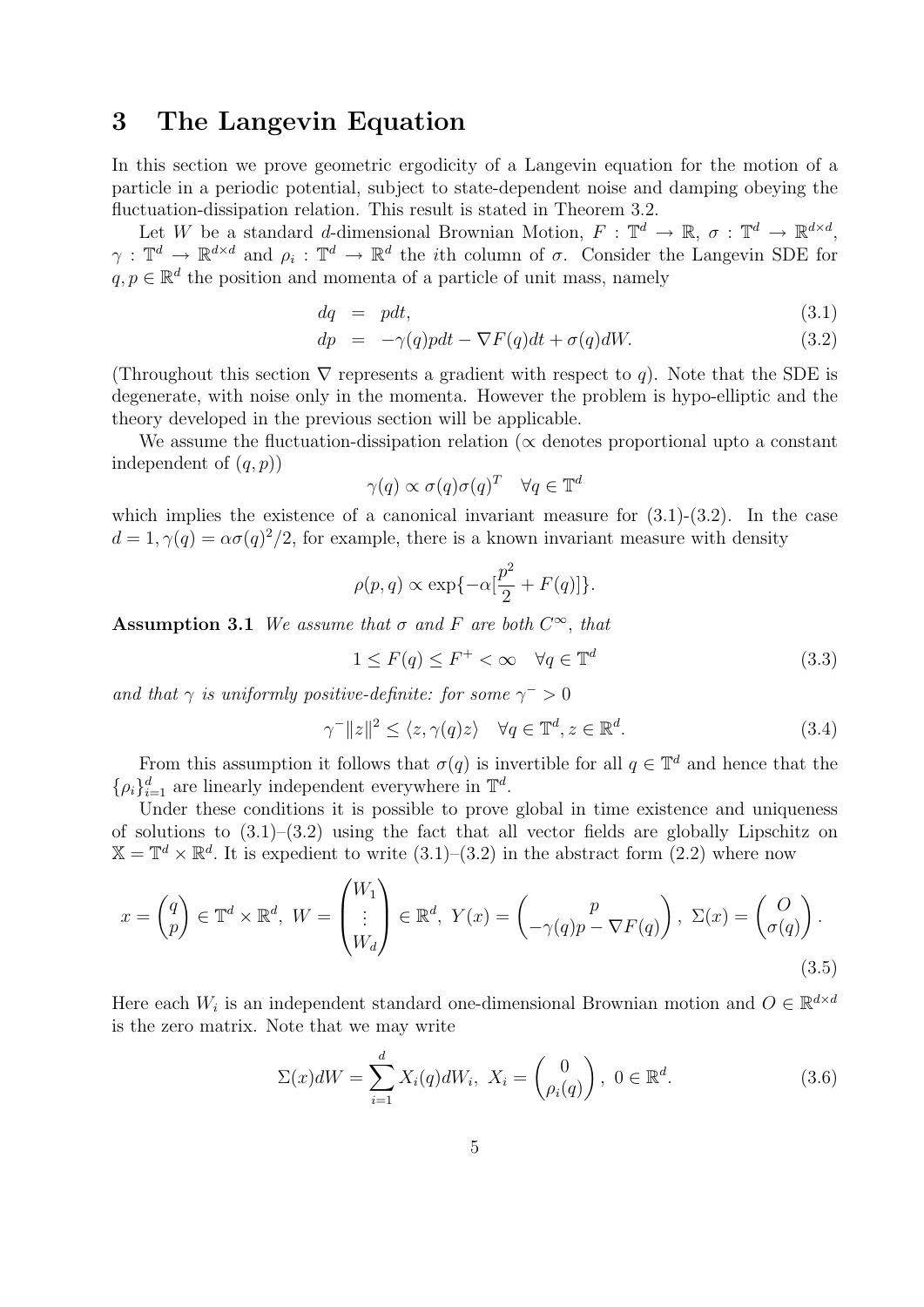# 3 The Langevin Equation

In this section we prove geometric ergodicity of a Langevin equation for the motion of a particle in a periodic potential, subject to state-dependent noise and damping obeying the fluctuation-dissipation relation. This result is stated in Theorem 3.2.

Let W be a standard d-dimensional Brownian Motion,  $F: \mathbb{T}^d \to \mathbb{R}, \sigma: \mathbb{T}^d \to \mathbb{R}^{d \times d}$ ,  $\gamma: \mathbb{T}^d \to \mathbb{R}^{d \times d}$  and  $\rho_i: \mathbb{T}^d \to \mathbb{R}^d$  the *i*th column of  $\sigma$ . Consider the Langevin SDE for  $q, p \in \mathbb{R}^d$  the position and momenta of a particle of unit mass, namely

$$
dq = pdt, \tag{3.1}
$$

$$
dp = -\gamma(q) pdt - \nabla F(q) dt + \sigma(q) dW.
$$
\n(3.2)

(Throughout this section  $\nabla$  represents a gradient with respect to q). Note that the SDE is degenerate, with noise only in the momenta. However the problem is hypo-elliptic and the theory developed in the previous section will be applicable.

We assume the fluctuation-dissipation relation ( $\alpha$  denotes proportional upto a constant independent of  $(q, p)$ 

$$
\gamma(q) \propto \sigma(q)\sigma(q)^T \quad \forall q \in \mathbb{T}^d
$$

which implies the existence of a canonical invariant measure for  $(3.1)-(3.2)$ . In the case  $d = 1, \gamma(q) = \alpha \sigma(q)^2/2$ , for example, there is a known invariant measure with density

$$
\rho(p,q) \propto \exp\{-\alpha[\frac{p^2}{2} + F(q)]\}.
$$

Assumption 3.1 We assume that  $\sigma$  and F are both  $C^{\infty}$ , that

$$
1 \le F(q) \le F^+ < \infty \quad \forall q \in \mathbb{T}^d \tag{3.3}
$$

and that  $\gamma$  is uniformly positive-definite: for some  $\gamma^{-} > 0$ 

$$
\gamma^{-}||z||^{2} \le \langle z, \gamma(q)z \rangle \quad \forall q \in \mathbb{T}^{d}, z \in \mathbb{R}^{d}.
$$
\n(3.4)

From this assumption it follows that  $\sigma(q)$  is invertible for all  $q \in \mathbb{T}^d$  and hence that the  $\{\rho_i\}_{i=1}^d$  are linearly independent everywhere in  $\mathbb{T}^d$ .

Under these conditions it is possible to prove global in time existence and uniqueness of solutions to  $(3.1)$ – $(3.2)$  using the fact that all vector fields are globally Lipschitz on  $\mathbb{X} = \mathbb{T}^d \times \mathbb{R}^d$ . It is expedient to write  $(3.1)$ – $(3.2)$  in the abstract form  $(2.2)$  where now

$$
x = \begin{pmatrix} q \\ p \end{pmatrix} \in \mathbb{T}^d \times \mathbb{R}^d, \ W = \begin{pmatrix} W_1 \\ \vdots \\ W_d \end{pmatrix} \in \mathbb{R}^d, \ Y(x) = \begin{pmatrix} p \\ -\gamma(q)p - \nabla F(q) \end{pmatrix}, \ \Sigma(x) = \begin{pmatrix} O \\ \sigma(q) \end{pmatrix}.
$$
\n(3.5)

Here each  $W_i$  is an independent standard one-dimensional Brownian motion and  $O \in \mathbb{R}^{d \times d}$ is the zero matrix. Note that we may write

$$
\Sigma(x)dW = \sum_{i=1}^{d} X_i(q)dW_i, \ X_i = \begin{pmatrix} 0 \\ \rho_i(q) \end{pmatrix}, \ 0 \in \mathbb{R}^d.
$$
 (3.6)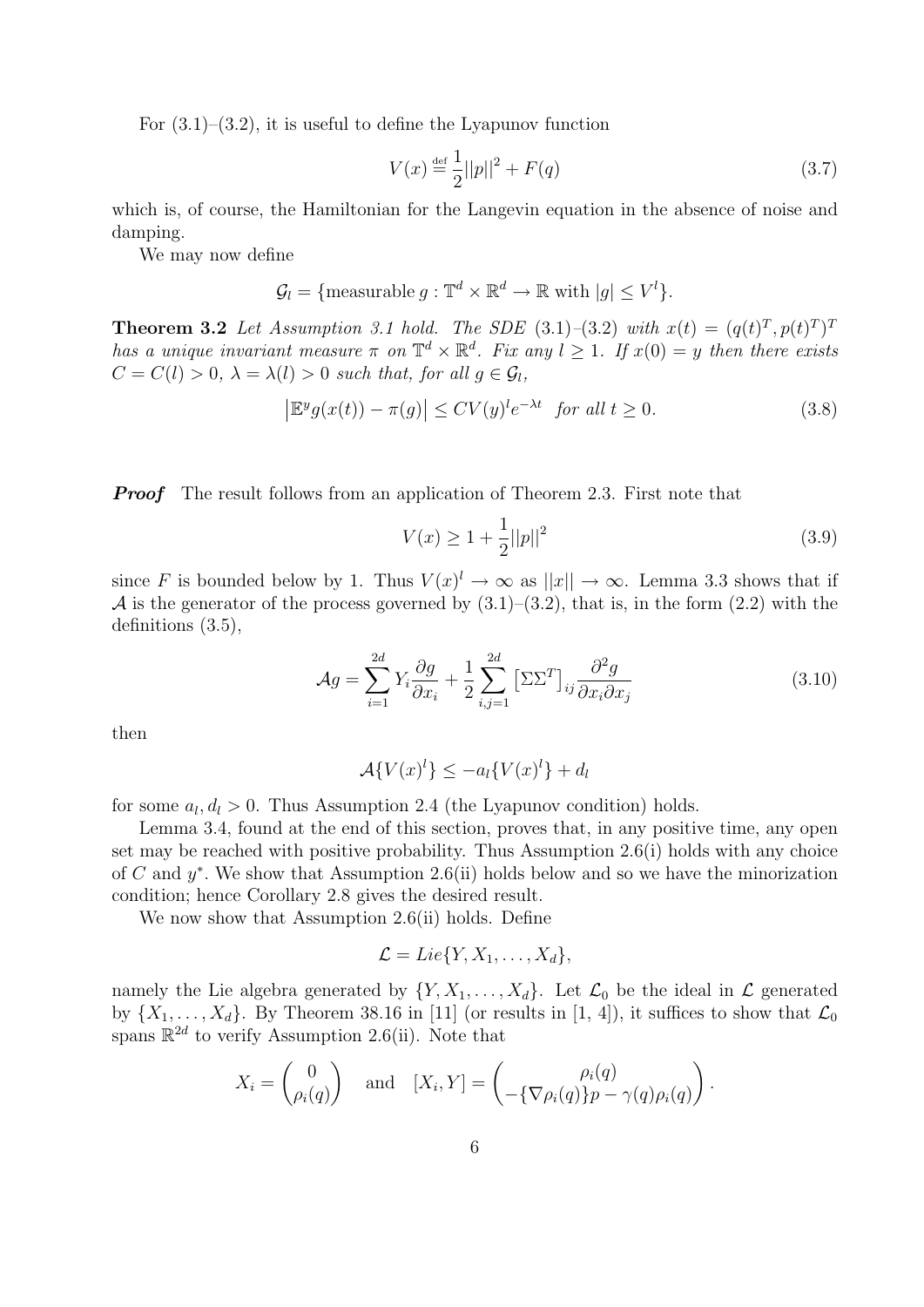For  $(3.1)$ – $(3.2)$ , it is useful to define the Lyapunov function

$$
V(x) \stackrel{\text{def}}{=} \frac{1}{2} ||p||^2 + F(q)
$$
 (3.7)

which is, of course, the Hamiltonian for the Langevin equation in the absence of noise and damping.

We may now define

$$
\mathcal{G}_l = \{ \text{measurable } g : \mathbb{T}^d \times \mathbb{R}^d \to \mathbb{R} \text{ with } |g| \le V^l \}.
$$

**Theorem 3.2** Let Assumption 3.1 hold. The SDE (3.1)–(3.2) with  $x(t) = (q(t)^T, p(t)^T)^T$ has a unique invariant measure  $\pi$  on  $\mathbb{T}^d \times \mathbb{R}^d$ . Fix any  $l \geq 1$ . If  $x(0) = y$  then there exists  $C = C(l) > 0$ ,  $\lambda = \lambda(l) > 0$  such that, for all  $q \in \mathcal{G}_l$ ,

$$
\left|\mathbb{E}^y g(x(t)) - \pi(g)\right| \le CV(y)^l e^{-\lambda t} \quad \text{for all } t \ge 0. \tag{3.8}
$$

**Proof** The result follows from an application of Theorem 2.3. First note that

$$
V(x) \ge 1 + \frac{1}{2}||p||^2 \tag{3.9}
$$

since F is bounded below by 1. Thus  $V(x)^{l} \to \infty$  as  $||x|| \to \infty$ . Lemma 3.3 shows that if A is the generator of the process governed by  $(3.1)$ – $(3.2)$ , that is, in the form  $(2.2)$  with the definitions (3.5),

$$
\mathcal{A}g = \sum_{i=1}^{2d} Y_i \frac{\partial g}{\partial x_i} + \frac{1}{2} \sum_{i,j=1}^{2d} \left[ \Sigma \Sigma^T \right]_{ij} \frac{\partial^2 g}{\partial x_i \partial x_j} \tag{3.10}
$$

then

$$
\mathcal{A}\{V(x)^l\} \le -a_l\{V(x)^l\} + d_l
$$

for some  $a_l, d_l > 0$ . Thus Assumption 2.4 (the Lyapunov condition) holds.

Lemma 3.4, found at the end of this section, proves that, in any positive time, any open set may be reached with positive probability. Thus Assumption 2.6(i) holds with any choice of C and  $y^*$ . We show that Assumption 2.6(ii) holds below and so we have the minorization condition; hence Corollary 2.8 gives the desired result.

We now show that Assumption 2.6(ii) holds. Define

$$
\mathcal{L}=Lie\{Y,X_1,\ldots,X_d\},\
$$

namely the Lie algebra generated by  $\{Y, X_1, \ldots, X_d\}$ . Let  $\mathcal{L}_0$  be the ideal in  $\mathcal{L}$  generated by  $\{X_1, \ldots, X_d\}$ . By Theorem 38.16 in [11] (or results in [1, 4]), it suffices to show that  $\mathcal{L}_0$ spans  $\mathbb{R}^{2d}$  to verify Assumption 2.6(ii). Note that

$$
X_i = \begin{pmatrix} 0 \\ \rho_i(q) \end{pmatrix} \text{ and } [X_i, Y] = \begin{pmatrix} \rho_i(q) \\ -\{\nabla \rho_i(q)\} p - \gamma(q) \rho_i(q) \end{pmatrix}.
$$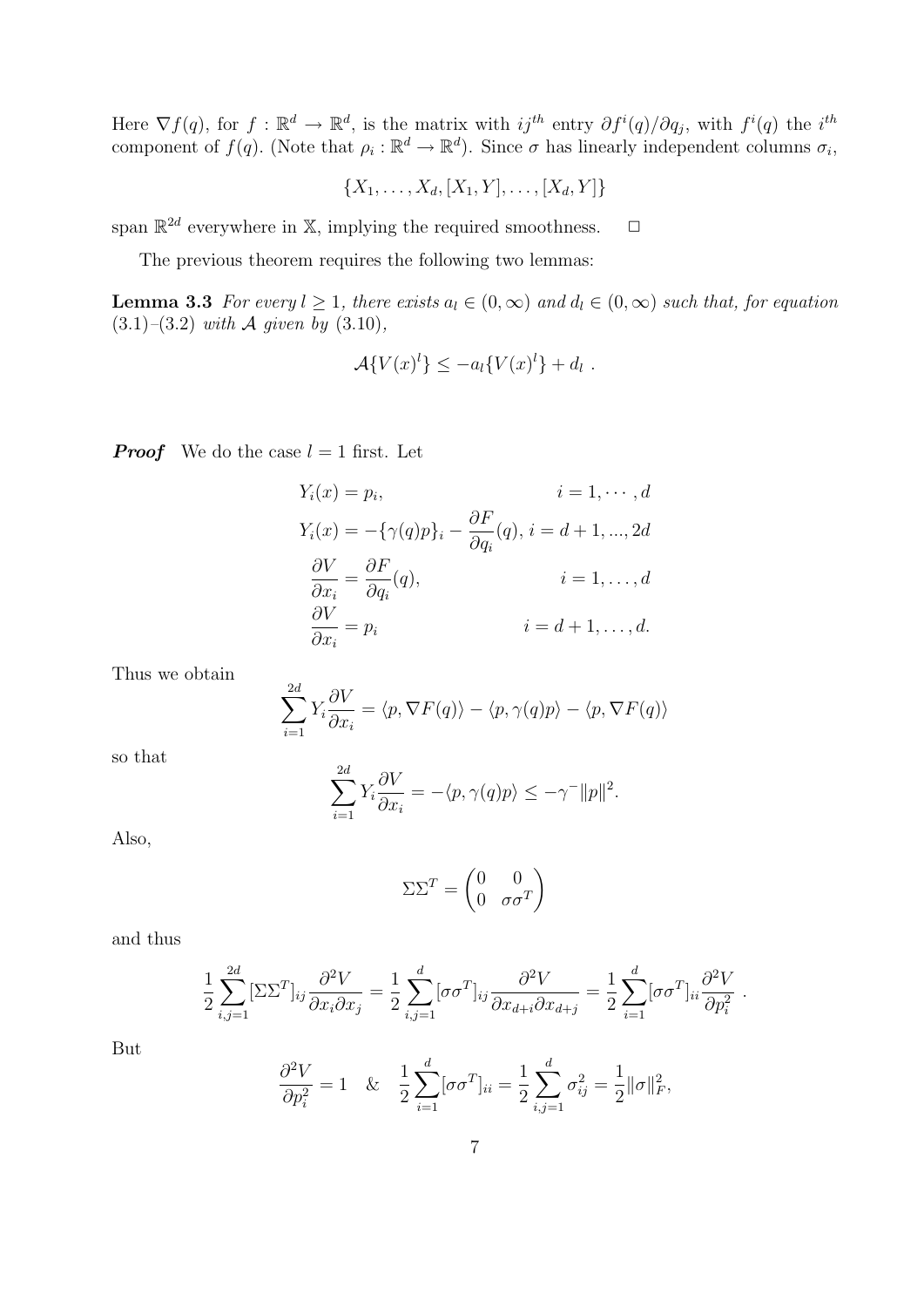Here  $\nabla f(q)$ , for  $f: \mathbb{R}^d \to \mathbb{R}^d$ , is the matrix with  $ij^{th}$  entry  $\partial f^i(q)/\partial q_j$ , with  $f^i(q)$  the  $i^{th}$ component of  $f(q)$ . (Note that  $\rho_i : \mathbb{R}^d \to \mathbb{R}^d$ ). Since  $\sigma$  has linearly independent columns  $\sigma_i$ ,

$$
\{X_1, \ldots, X_d, [X_1, Y], \ldots, [X_d, Y]\}
$$

span  $\mathbb{R}^{2d}$  everywhere in X, implying the required smoothness.  $\Box$ 

The previous theorem requires the following two lemmas:

**Lemma 3.3** For every  $l \geq 1$ , there exists  $a_l \in (0,\infty)$  and  $d_l \in (0,\infty)$  such that, for equation  $(3.1)$ – $(3.2)$  with A given by  $(3.10)$ ,

$$
\mathcal{A}\lbrace V(x)^l\rbrace \leq -a_l\lbrace V(x)^l\rbrace + d_l.
$$

**Proof** We do the case  $l = 1$  first. Let

$$
Y_i(x) = p_i, \t i = 1, \dots, d
$$
  
\n
$$
Y_i(x) = -\{\gamma(q)p\}_i - \frac{\partial F}{\partial q_i}(q), i = d+1, \dots, 2d
$$
  
\n
$$
\frac{\partial V}{\partial x_i} = \frac{\partial F}{\partial q_i}(q), \t i = 1, \dots, d
$$
  
\n
$$
\frac{\partial V}{\partial x_i} = p_i \t i = d+1, \dots, d.
$$

Thus we obtain

$$
\sum_{i=1}^{2d} Y_i \frac{\partial V}{\partial x_i} = \langle p, \nabla F(q) \rangle - \langle p, \gamma(q)p \rangle - \langle p, \nabla F(q) \rangle
$$

so that

$$
\sum_{i=1}^{2d} Y_i \frac{\partial V}{\partial x_i} = -\langle p, \gamma(q)p \rangle \le -\gamma^{-} ||p||^2.
$$

Also,

$$
\Sigma\Sigma^T = \begin{pmatrix} 0 & 0 \\ 0 & \sigma\sigma^T \end{pmatrix}
$$

and thus

$$
\frac{1}{2} \sum_{i,j=1}^{2d} [\Sigma \Sigma^T]_{ij} \frac{\partial^2 V}{\partial x_i \partial x_j} = \frac{1}{2} \sum_{i,j=1}^d [\sigma \sigma^T]_{ij} \frac{\partial^2 V}{\partial x_{d+i} \partial x_{d+j}} = \frac{1}{2} \sum_{i=1}^d [\sigma \sigma^T]_{ii} \frac{\partial^2 V}{\partial p_i^2}.
$$

But

$$
\frac{\partial^2 V}{\partial p_i^2} = 1 \quad \& \quad \frac{1}{2} \sum_{i=1}^d [\sigma \sigma^T]_{ii} = \frac{1}{2} \sum_{i,j=1}^d \sigma_{ij}^2 = \frac{1}{2} ||\sigma||_F^2,
$$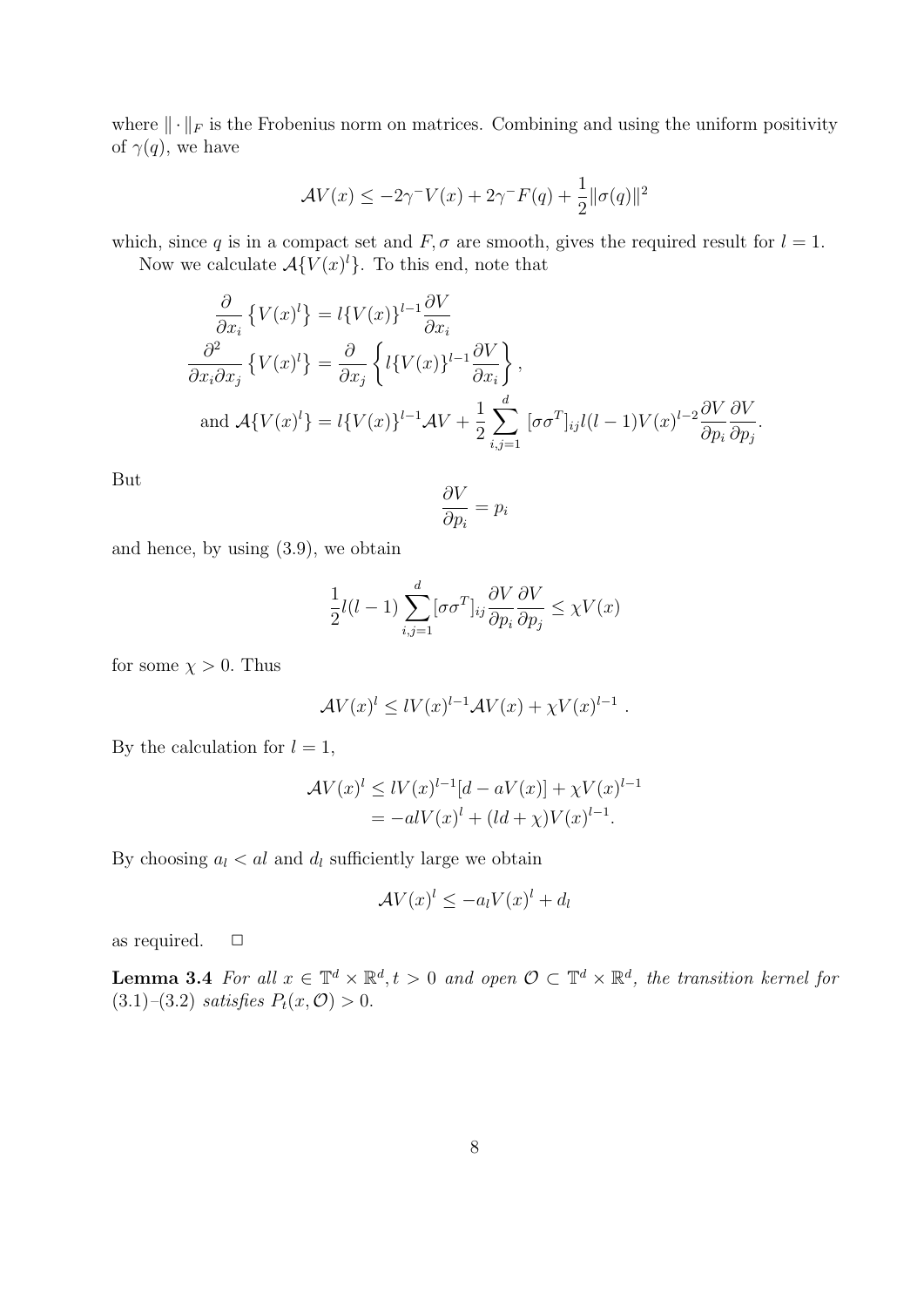where  $\|\cdot\|_F$  is the Frobenius norm on matrices. Combining and using the uniform positivity of  $\gamma(q)$ , we have

$$
\mathcal{A}V(x) \le -2\gamma^{-}V(x) + 2\gamma^{-}F(q) + \frac{1}{2} ||\sigma(q)||^{2}
$$

which, since q is in a compact set and  $F, \sigma$  are smooth, gives the required result for  $l = 1$ .

Now we calculate  $\mathcal{A}\lbrace V(x)^{l}\rbrace$ . To this end, note that

$$
\frac{\partial}{\partial x_i} \{ V(x)^l \} = l \{ V(x) \}^{l-1} \frac{\partial V}{\partial x_i}
$$
\n
$$
\frac{\partial^2}{\partial x_i \partial x_j} \{ V(x)^l \} = \frac{\partial}{\partial x_j} \left\{ l \{ V(x) \}^{l-1} \frac{\partial V}{\partial x_i} \right\},
$$
\nand\n
$$
\mathcal{A} \{ V(x)^l \} = l \{ V(x) \}^{l-1} \mathcal{A} V + \frac{1}{2} \sum_{i,j=1}^d [\sigma \sigma^T]_{ij} l(l-1) V(x)^{l-2} \frac{\partial V}{\partial p_i} \frac{\partial V}{\partial p_j}.
$$

But

$$
\frac{\partial V}{\partial p_i} = p_i
$$

and hence, by using (3.9), we obtain

$$
\frac{1}{2}l(l-1)\sum_{i,j=1}^{d}[\sigma\sigma^{T}]_{ij}\frac{\partial V}{\partial p_{i}}\frac{\partial V}{\partial p_{j}} \leq \chi V(x)
$$

for some  $\chi > 0$ . Thus

$$
\mathcal{A}V(x)^{l} \leq lV(x)^{l-1}\mathcal{A}V(x) + \chi V(x)^{l-1}.
$$

By the calculation for  $l = 1$ ,

$$
\mathcal{A}V(x)^{l} \leq lV(x)^{l-1}[d - aV(x)] + \chi V(x)^{l-1}
$$
  
=  $-alV(x)^{l} + (ld + \chi)V(x)^{l-1}$ .

By choosing  $a_l < al$  and  $d_l$  sufficiently large we obtain

$$
\mathcal{A}V(x)^l \le -a_l V(x)^l + d_l
$$

as required.  $\square$ 

**Lemma 3.4** For all  $x \in \mathbb{T}^d \times \mathbb{R}^d$ ,  $t > 0$  and open  $\mathcal{O} \subset \mathbb{T}^d \times \mathbb{R}^d$ , the transition kernel for (3.1)–(3.2) satisfies  $P_t(x, 0) > 0$ .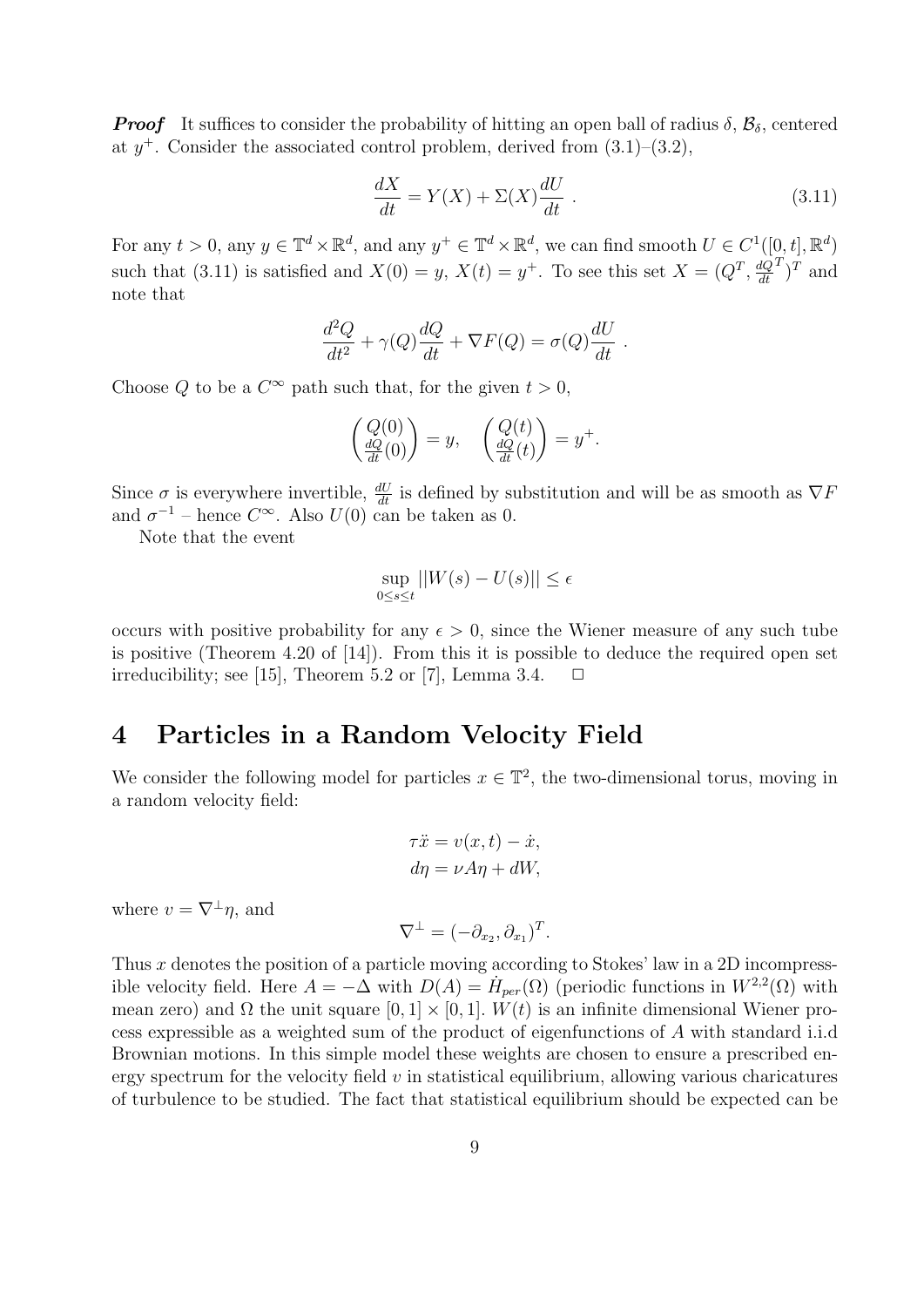**Proof** It suffices to consider the probability of hitting an open ball of radius  $\delta$ ,  $\mathcal{B}_{\delta}$ , centered at  $y^+$ . Consider the associated control problem, derived from  $(3.1)$ – $(3.2)$ ,

$$
\frac{dX}{dt} = Y(X) + \Sigma(X)\frac{dU}{dt} \tag{3.11}
$$

For any  $t > 0$ , any  $y \in \mathbb{T}^d \times \mathbb{R}^d$ , and any  $y^+ \in \mathbb{T}^d \times \mathbb{R}^d$ , we can find smooth  $U \in C^1([0, t], \mathbb{R}^d)$ such that (3.11) is satisfied and  $X(0) = y$ ,  $X(t) = y^+$ . To see this set  $X = (Q^T, \frac{dQ}{dt})$ dt  $(T)^T$  and note that

$$
\frac{d^2Q}{dt^2} + \gamma(Q)\frac{dQ}{dt} + \nabla F(Q) = \sigma(Q)\frac{dU}{dt}.
$$

Choose Q to be a  $C^{\infty}$  path such that, for the given  $t > 0$ ,

$$
\begin{pmatrix} Q(0) \\ \frac{dQ}{dt}(0) \end{pmatrix} = y, \quad \begin{pmatrix} Q(t) \\ \frac{dQ}{dt}(t) \end{pmatrix} = y^+.
$$

Since  $\sigma$  is everywhere invertible,  $\frac{dU}{dt}$  is defined by substitution and will be as smooth as  $\nabla F$ and  $\sigma^{-1}$  – hence  $C^{\infty}$ . Also  $U(0)$  can be taken as 0.

Note that the event

$$
\sup_{0 \le s \le t} ||W(s) - U(s)|| \le \epsilon
$$

occurs with positive probability for any  $\epsilon > 0$ , since the Wiener measure of any such tube is positive (Theorem 4.20 of [14]). From this it is possible to deduce the required open set irreducibility; see [15], Theorem 5.2 or [7], Lemma 3.4.  $\Box$ 

### 4 Particles in a Random Velocity Field

We consider the following model for particles  $x \in \mathbb{T}^2$ , the two-dimensional torus, moving in a random velocity field:

$$
\tau \ddot{x} = v(x, t) - \dot{x},
$$
  

$$
d\eta = \nu A \eta + dW,
$$

where  $v = \nabla^{\perp} \eta$ , and

$$
\nabla^{\perp} = (-\partial_{x_2}, \partial_{x_1})^T.
$$

Thus  $x$  denotes the position of a particle moving according to Stokes' law in a 2D incompressible velocity field. Here  $A = -\Delta$  with  $D(A) = H_{per}(\Omega)$  (periodic functions in  $W^{2,2}(\Omega)$  with mean zero) and  $\Omega$  the unit square  $[0, 1] \times [0, 1]$ .  $W(t)$  is an infinite dimensional Wiener process expressible as a weighted sum of the product of eigenfunctions of A with standard i.i.d Brownian motions. In this simple model these weights are chosen to ensure a prescribed energy spectrum for the velocity field  $v$  in statistical equilibrium, allowing various charicatures of turbulence to be studied. The fact that statistical equilibrium should be expected can be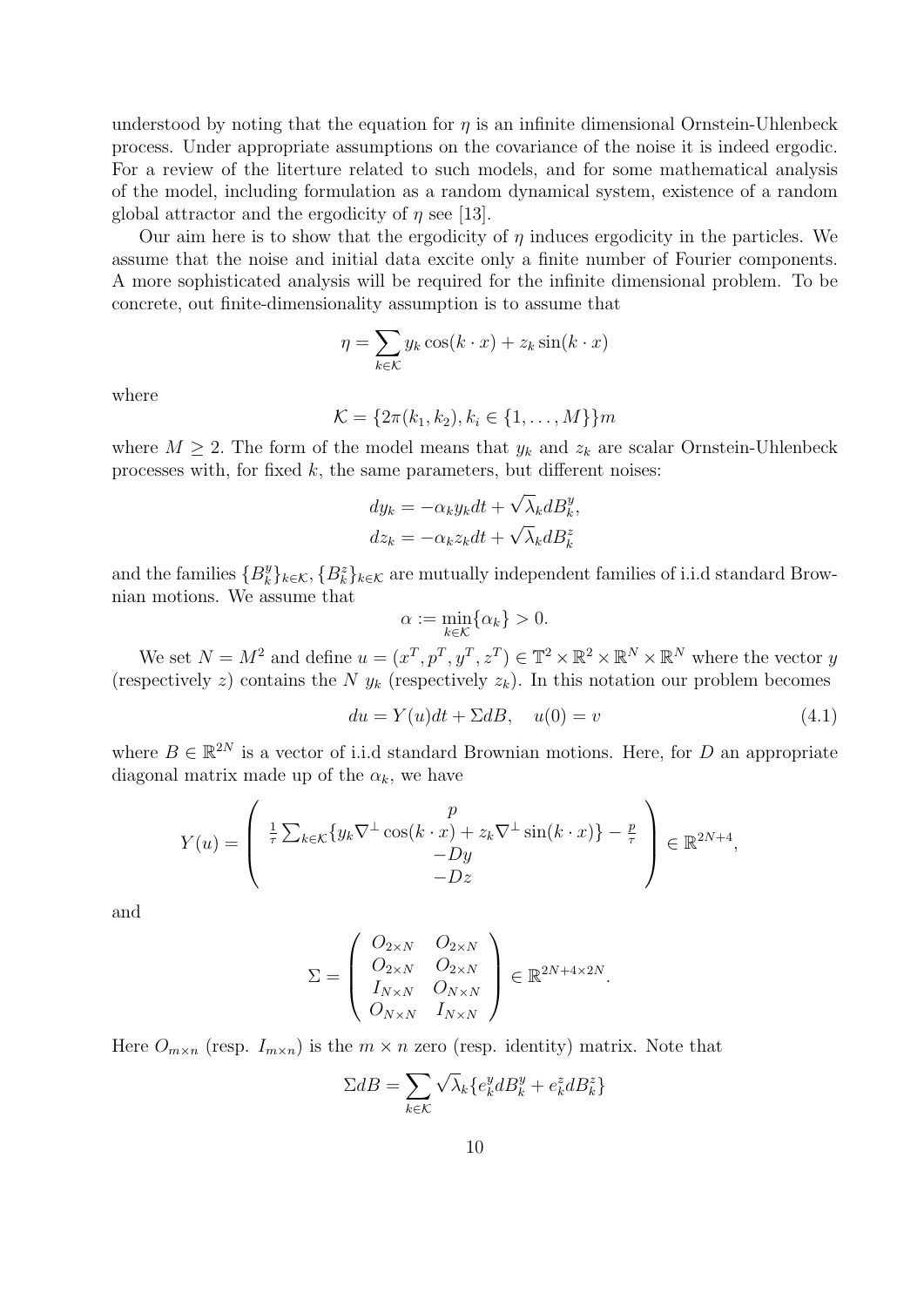understood by noting that the equation for  $\eta$  is an infinite dimensional Ornstein-Uhlenbeck process. Under appropriate assumptions on the covariance of the noise it is indeed ergodic. For a review of the literture related to such models, and for some mathematical analysis of the model, including formulation as a random dynamical system, existence of a random global attractor and the ergodicity of  $\eta$  see [13].

Our aim here is to show that the ergodicity of  $\eta$  induces ergodicity in the particles. We assume that the noise and initial data excite only a finite number of Fourier components. A more sophisticated analysis will be required for the infinite dimensional problem. To be concrete, out finite-dimensionality assumption is to assume that

$$
\eta = \sum_{k \in \mathcal{K}} y_k \cos(k \cdot x) + z_k \sin(k \cdot x)
$$

where

$$
\mathcal{K} = \{2\pi(k_1, k_2), k_i \in \{1, \ldots, M\}\}m
$$

where  $M \geq 2$ . The form of the model means that  $y_k$  and  $z_k$  are scalar Ornstein-Uhlenbeck processes with, for fixed  $k$ , the same parameters, but different noises:

$$
dy_k = -\alpha_k y_k dt + \sqrt{\lambda_k} dB_k^y,
$$
  

$$
dz_k = -\alpha_k z_k dt + \sqrt{\lambda_k} dB_k^z
$$

and the families  $\{B_k^y\}$ <sup>y</sup> $_k$ <sup>}</sup> $_k$ ∈ $\kappa$ , { $B_k^z$ } $_k$ ∈ $\kappa$  are mutually independent families of i.i.d standard Brownian motions. We assume that

$$
\alpha := \min_{k \in \mathcal{K}} \{ \alpha_k \} > 0.
$$

We set  $N = M^2$  and define  $u = (x^T, p^T, y^T, z^T) \in \mathbb{T}^2 \times \mathbb{R}^2 \times \mathbb{R}^N \times \mathbb{R}^N$  where the vector y (respectively z) contains the N  $y_k$  (respectively  $z_k$ ). In this notation our problem becomes

$$
du = Y(u)dt + \Sigma dB, \quad u(0) = v \tag{4.1}
$$

where  $B \in \mathbb{R}^{2N}$  is a vector of i.i.d standard Brownian motions. Here, for D an appropriate diagonal matrix made up of the  $\alpha_k$ , we have

$$
Y(u) = \begin{pmatrix} \frac{1}{\tau} \sum_{k \in \mathcal{K}} \{y_k \nabla^{\perp} \cos(k \cdot x) + z_k \nabla^{\perp} \sin(k \cdot x) \} - \frac{p}{\tau} \\ -Dz \end{pmatrix} \in \mathbb{R}^{2N+4},
$$

and

$$
\Sigma = \left(\begin{array}{ccc} O_{2\times N} & O_{2\times N} \\ O_{2\times N} & O_{2\times N} \\ I_{N\times N} & O_{N\times N} \\ O_{N\times N} & I_{N\times N} \end{array}\right) \in \mathbb{R}^{2N+4\times 2N}.
$$

Here  $O_{m \times n}$  (resp.  $I_{m \times n}$ ) is the  $m \times n$  zero (resp. identity) matrix. Note that

$$
\Sigma dB = \sum_{k \in \mathcal{K}} \sqrt{\lambda_k} \{ e_k^y dB_k^y + e_k^z dB_k^z \}
$$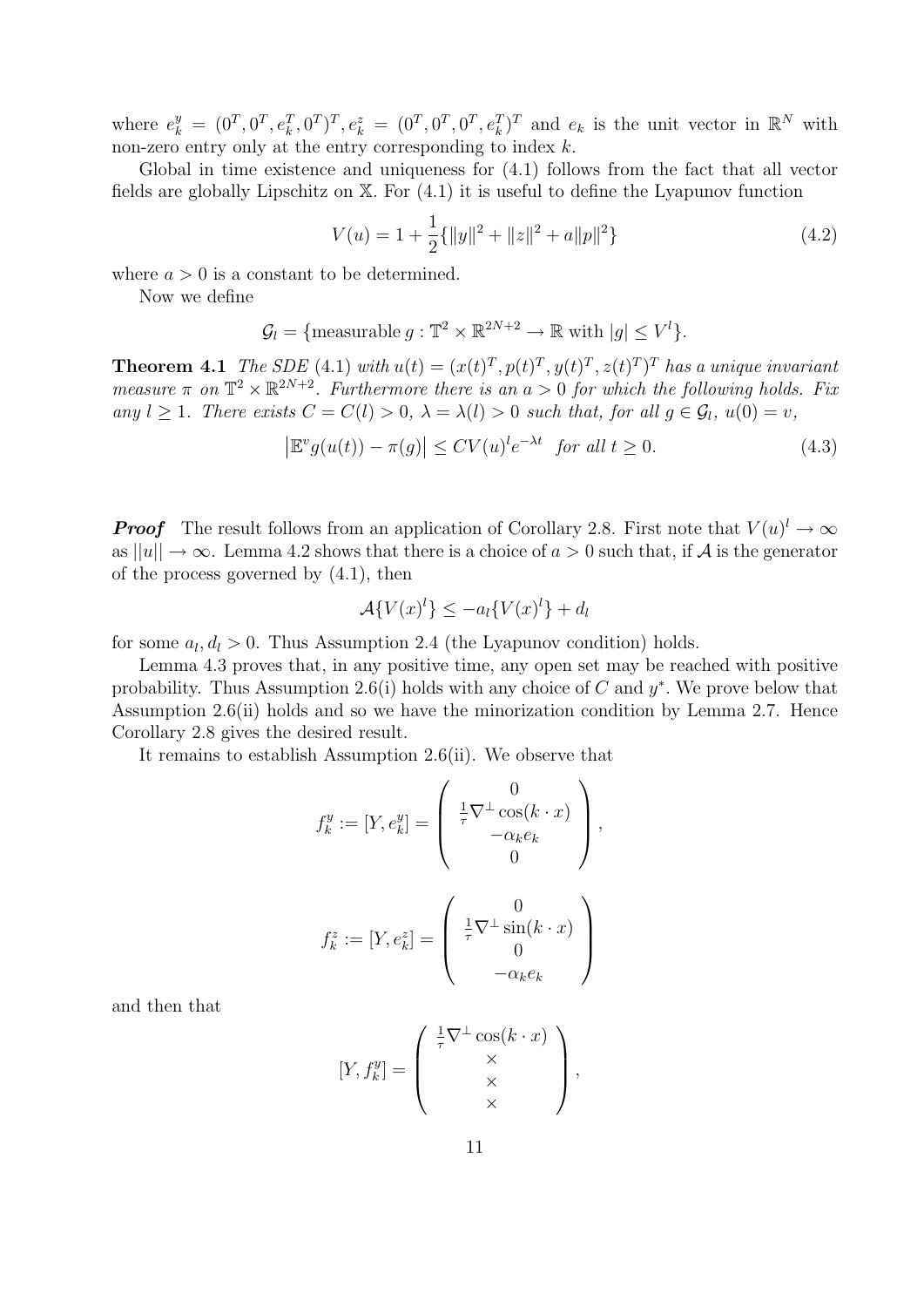where  $e_k^y = (0^T, 0^T, e_k^T, 0^T)^T, e_k^z = (0^T, 0^T, 0^T, e_k^T)^T$  and  $e_k$  is the unit vector in  $\mathbb{R}^N$  with non-zero entry only at the entry corresponding to index  $k$ .

Global in time existence and uniqueness for (4.1) follows from the fact that all vector fields are globally Lipschitz on X. For (4.1) it is useful to define the Lyapunov function

$$
V(u) = 1 + \frac{1}{2} \{ ||y||^2 + ||z||^2 + a||p||^2 \}
$$
\n(4.2)

where  $a > 0$  is a constant to be determined.

Now we define

$$
\mathcal{G}_l = \{ \text{measurable } g : \mathbb{T}^2 \times \mathbb{R}^{2N+2} \to \mathbb{R} \text{ with } |g| \le V^l \}.
$$

**Theorem 4.1** The SDE (4.1) with  $u(t) = (x(t)^T, p(t)^T, y(t)^T, z(t)^T)^T$  has a unique invariant measure  $\pi$  on  $\mathbb{T}^2 \times \mathbb{R}^{2N+2}$ . Furthermore there is an  $a > 0$  for which the following holds. Fix any  $l \geq 1$ . There exists  $C = C(l) > 0$ ,  $\lambda = \lambda(l) > 0$  such that, for all  $q \in \mathcal{G}_l$ ,  $u(0) = v$ ,

$$
\left|\mathbb{E}^v g(u(t)) - \pi(g)\right| \le CV(u)^l e^{-\lambda t} \quad \text{for all } t \ge 0. \tag{4.3}
$$

**Proof** The result follows from an application of Corollary 2.8. First note that  $V(u)^{l} \to \infty$ as  $||u|| \rightarrow \infty$ . Lemma 4.2 shows that there is a choice of  $a > 0$  such that, if A is the generator of the process governed by (4.1), then

$$
\mathcal{A}\{V(x)^l\} \le -a_l\{V(x)^l\} + d_l
$$

for some  $a_l, d_l > 0$ . Thus Assumption 2.4 (the Lyapunov condition) holds.

Lemma 4.3 proves that, in any positive time, any open set may be reached with positive probability. Thus Assumption 2.6(i) holds with any choice of  $C$  and  $y^*$ . We prove below that Assumption 2.6(ii) holds and so we have the minorization condition by Lemma 2.7. Hence Corollary 2.8 gives the desired result.

It remains to establish Assumption 2.6(ii). We observe that

$$
f_k^y := [Y, e_k^y] = \begin{pmatrix} 0 \\ \frac{1}{\tau} \nabla^{\perp} \cos(k \cdot x) \\ -\alpha_k e_k \\ 0 \end{pmatrix},
$$

$$
f_k^z := [Y, e_k^z] = \begin{pmatrix} 0 \\ \frac{1}{\tau} \nabla^{\perp} \sin(k \cdot x) \\ 0 \\ -\alpha_k e_k \end{pmatrix}
$$

and then that

$$
[Y, f_k^y] = \begin{pmatrix} \frac{1}{\tau} \nabla^{\perp} \cos(k \cdot x) \\ \times \\ \times \\ \times \end{pmatrix},
$$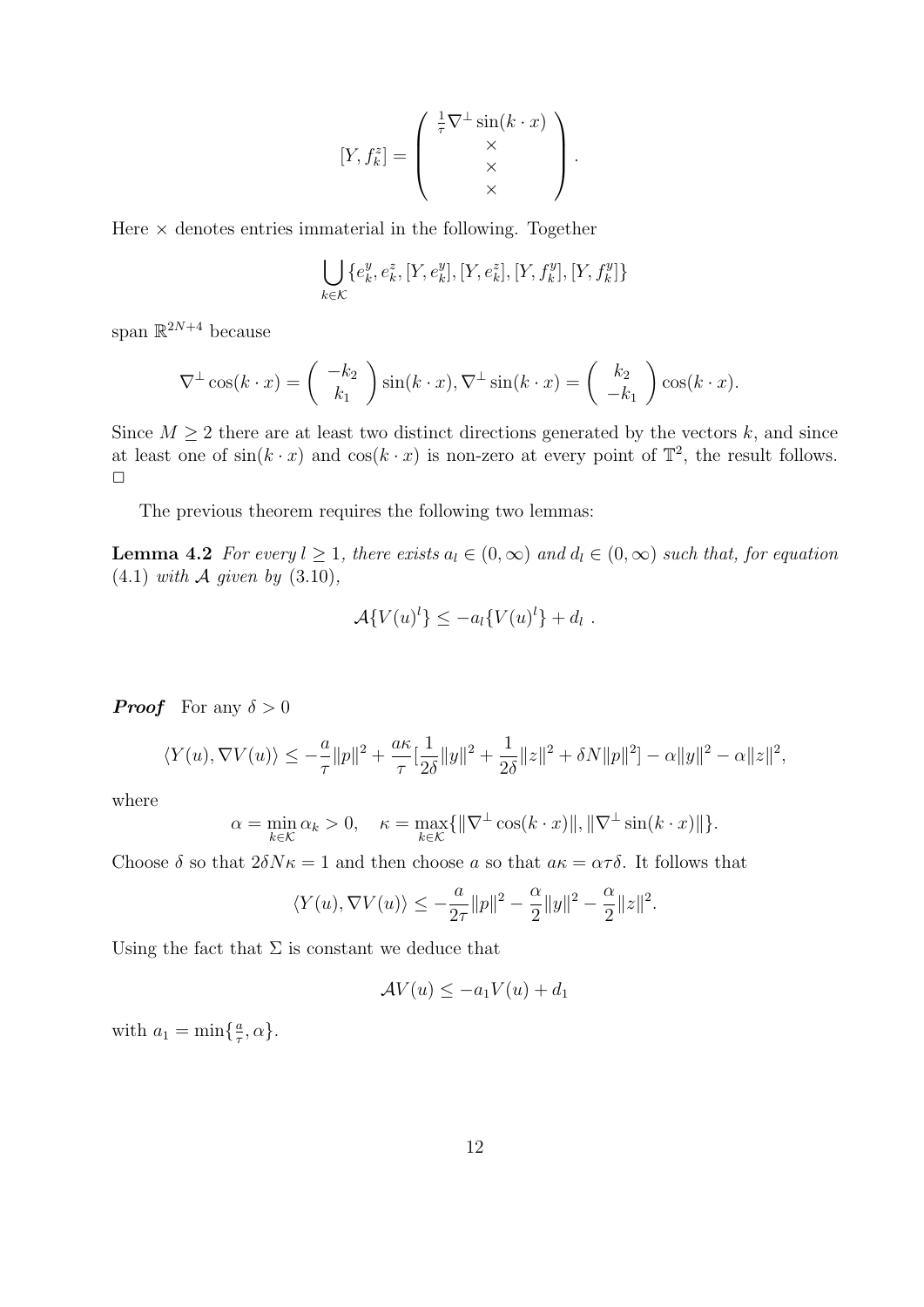$$
[Y, f_k^z] = \begin{pmatrix} \frac{1}{\tau} \nabla^{\perp} \sin(k \cdot x) \\ \times \\ \times \\ \times \end{pmatrix}.
$$

Here  $\times$  denotes entries immaterial in the following. Together

$$
\bigcup_{k \in \mathcal{K}} \{e_k^y, e_k^z, [Y, e_k^y], [Y, e_k^z], [Y, f_k^y], [Y, f_k^y]\}
$$

span  $\mathbb{R}^{2N+4}$  because

$$
\nabla^{\perp} \cos(k \cdot x) = \begin{pmatrix} -k_2 \\ k_1 \end{pmatrix} \sin(k \cdot x), \nabla^{\perp} \sin(k \cdot x) = \begin{pmatrix} k_2 \\ -k_1 \end{pmatrix} \cos(k \cdot x).
$$

Since  $M \geq 2$  there are at least two distinct directions generated by the vectors k, and since at least one of  $sin(k \cdot x)$  and  $cos(k \cdot x)$  is non-zero at every point of  $\mathbb{T}^2$ , the result follows.  $\Box$ 

The previous theorem requires the following two lemmas:

**Lemma 4.2** For every  $l \geq 1$ , there exists  $a_l \in (0,\infty)$  and  $d_l \in (0,\infty)$  such that, for equation  $(4.1)$  with A given by  $(3.10)$ ,

$$
\mathcal{A}\lbrace V(u)^l\rbrace \leq -a_l\lbrace V(u)^l\rbrace +d_l.
$$

**Proof** For any  $\delta > 0$ 

$$
\langle Y(u), \nabla V(u) \rangle \le -\frac{a}{\tau} ||p||^2 + \frac{a\kappa}{\tau} [\frac{1}{2\delta} ||y||^2 + \frac{1}{2\delta} ||z||^2 + \delta N ||p||^2] - \alpha ||y||^2 - \alpha ||z||^2,
$$

where

$$
\alpha = \min_{k \in \mathcal{K}} \alpha_k > 0, \quad \kappa = \max_{k \in \mathcal{K}} \{ \|\nabla^{\perp} \cos(k \cdot x)\|, \|\nabla^{\perp} \sin(k \cdot x)\| \}.
$$

Choose  $\delta$  so that  $2\delta N\kappa = 1$  and then choose a so that  $a\kappa = \alpha\tau\delta$ . It follows that

$$
\langle Y(u),\nabla V(u)\rangle\leq -\frac{a}{2\tau}\|p\|^2-\frac{\alpha}{2}\|y\|^2-\frac{\alpha}{2}\|z\|^2.
$$

Using the fact that  $\Sigma$  is constant we deduce that

$$
\mathcal{A}V(u) \le -a_1V(u) + d_1
$$

with  $a_1 = \min\{\frac{a}{\tau}\}$  $\frac{a}{\tau}, \alpha$ .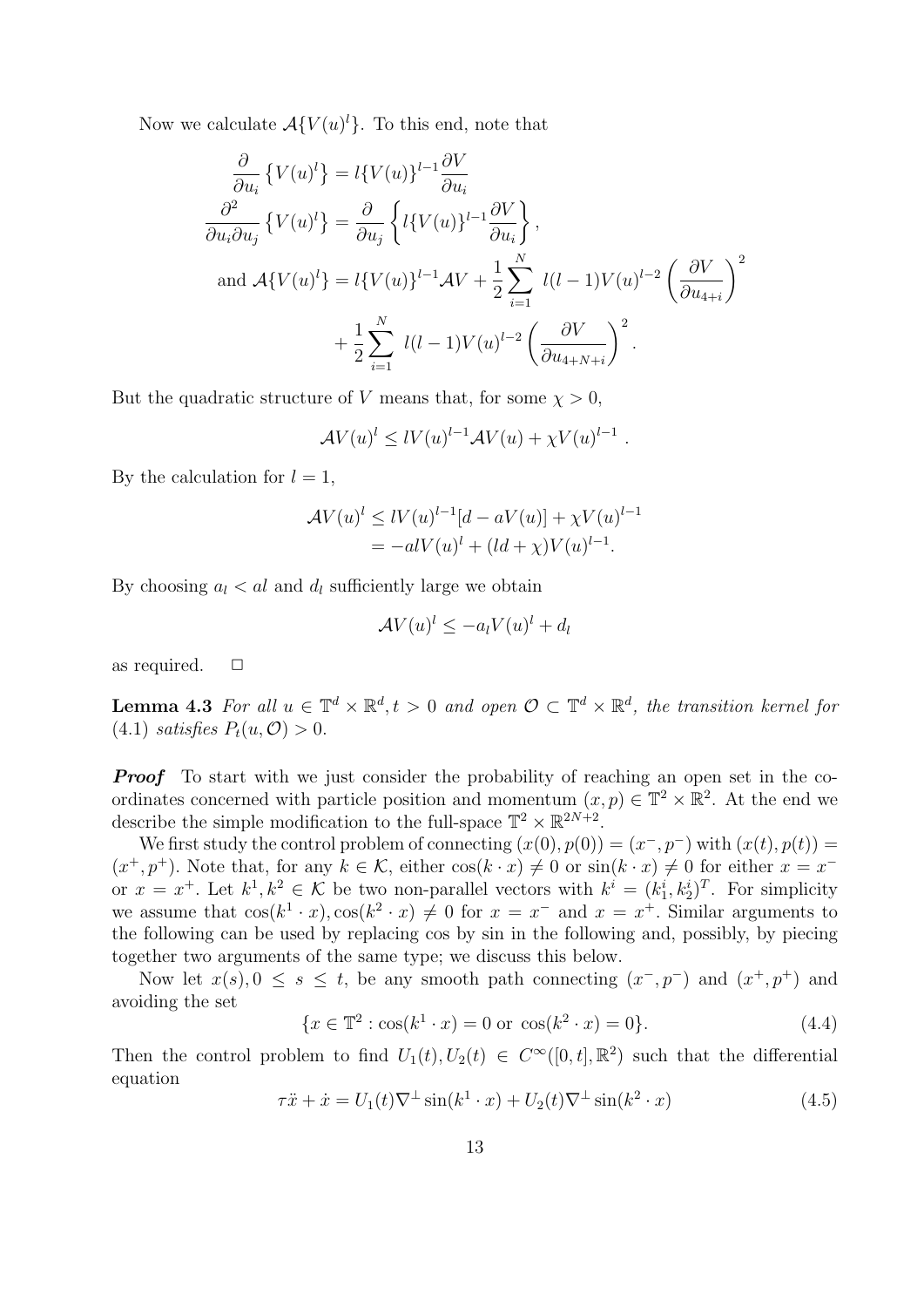Now we calculate  $\mathcal{A}\lbrace V(u)^l \rbrace$ . To this end, note that

$$
\frac{\partial}{\partial u_i} \{ V(u)^l \} = l \{ V(u) \}^{l-1} \frac{\partial V}{\partial u_i}
$$
\n
$$
\frac{\partial^2}{\partial u_i \partial u_j} \{ V(u)^l \} = \frac{\partial}{\partial u_j} \left\{ l \{ V(u) \}^{l-1} \frac{\partial V}{\partial u_i} \right\},
$$
\nand 
$$
\mathcal{A} \{ V(u)^l \} = l \{ V(u) \}^{l-1} \mathcal{A} V + \frac{1}{2} \sum_{i=1}^N l(l-1) V(u)^{l-2} \left( \frac{\partial V}{\partial u_{4+i}} \right)^2
$$
\n
$$
+ \frac{1}{2} \sum_{i=1}^N l(l-1) V(u)^{l-2} \left( \frac{\partial V}{\partial u_{4+N+i}} \right)^2.
$$

But the quadratic structure of V means that, for some  $\chi > 0$ ,

$$
\mathcal{A}V(u)^l \leq lV(u)^{l-1}\mathcal{A}V(u) + \chi V(u)^{l-1}.
$$

By the calculation for  $l = 1$ ,

$$
\mathcal{A}V(u)^{l} \leq lV(u)^{l-1}[d - aV(u)] + \chi V(u)^{l-1} = -alV(u)^{l} + (ld + \chi)V(u)^{l-1}.
$$

By choosing  $a_l < al$  and  $d_l$  sufficiently large we obtain

$$
\mathcal{A}V(u)^l \le -a_l V(u)^l + d_l
$$

as required.  $\square$ 

**Lemma 4.3** For all  $u \in \mathbb{T}^d \times \mathbb{R}^d$ ,  $t > 0$  and open  $\mathcal{O} \subset \mathbb{T}^d \times \mathbb{R}^d$ , the transition kernel for (4.1) satisfies  $P_t(u, \mathcal{O}) > 0$ .

**Proof** To start with we just consider the probability of reaching an open set in the coordinates concerned with particle position and momentum  $(x, p) \in \mathbb{T}^2 \times \mathbb{R}^2$ . At the end we describe the simple modification to the full-space  $\mathbb{T}^2 \times \mathbb{R}^{2N+2}$ .

We first study the control problem of connecting  $(x(0), p(0)) = (x^-, p^-)$  with  $(x(t), p(t)) =$  $(x^+, p^+)$ . Note that, for any  $k \in \mathcal{K}$ , either  $\cos(k \cdot x) \neq 0$  or  $\sin(k \cdot x) \neq 0$  for either  $x = x^$ or  $x = x^+$ . Let  $k^1, k^2 \in \mathcal{K}$  be two non-parallel vectors with  $k^i = (k_1^i, k_2^i)^T$ . For simplicity we assume that  $\cos(k^1 \cdot x), \cos(k^2 \cdot x) \neq 0$  for  $x = x^-$  and  $x = x^+$ . Similar arguments to the following can be used by replacing cos by sin in the following and, possibly, by piecing together two arguments of the same type; we discuss this below.

Now let  $x(s)$ ,  $0 \le s \le t$ , be any smooth path connecting  $(x^-, p^-)$  and  $(x^+, p^+)$  and avoiding the set

$$
\{x \in \mathbb{T}^2 : \cos(k^1 \cdot x) = 0 \text{ or } \cos(k^2 \cdot x) = 0\}.
$$
 (4.4)

Then the control problem to find  $U_1(t)$ ,  $U_2(t) \in C^{\infty}([0,t], \mathbb{R}^2)$  such that the differential equation

$$
\tau \ddot{x} + \dot{x} = U_1(t) \nabla^{\perp} \sin(k^1 \cdot x) + U_2(t) \nabla^{\perp} \sin(k^2 \cdot x) \tag{4.5}
$$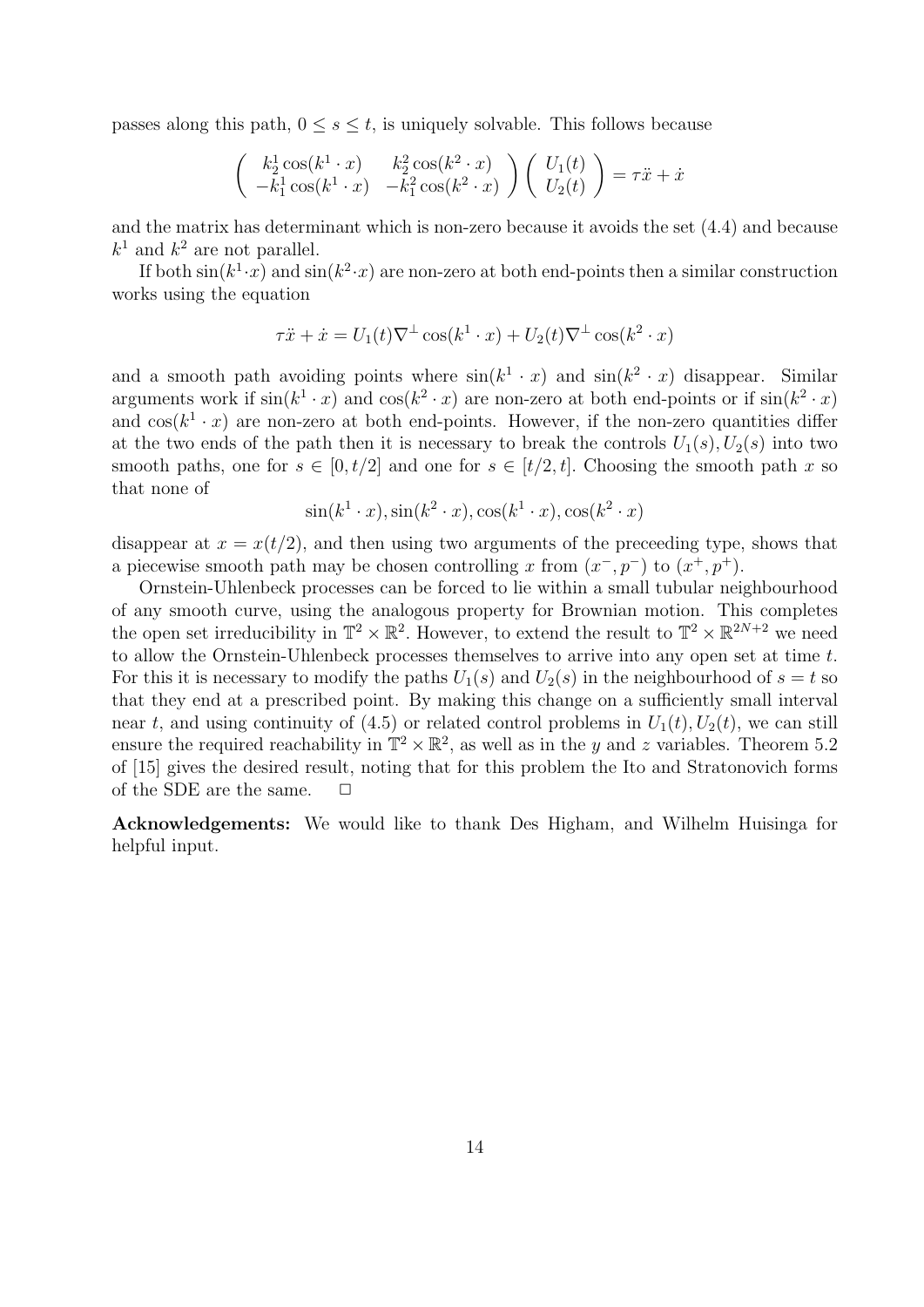passes along this path,  $0 \leq s \leq t$ , is uniquely solvable. This follows because

$$
\begin{pmatrix} k_2^1 \cos(k^1 \cdot x) & k_2^2 \cos(k^2 \cdot x) \\ -k_1^1 \cos(k^1 \cdot x) & -k_1^2 \cos(k^2 \cdot x) \end{pmatrix} \begin{pmatrix} U_1(t) \\ U_2(t) \end{pmatrix} = \tau \ddot{x} + \dot{x}
$$

and the matrix has determinant which is non-zero because it avoids the set (4.4) and because  $k^1$  and  $k^2$  are not parallel.

If both  $\sin(k^1 \cdot x)$  and  $\sin(k^2 \cdot x)$  are non-zero at both end-points then a similar construction works using the equation

$$
\tau \ddot{x} + \dot{x} = U_1(t) \nabla^{\perp} \cos(k^1 \cdot x) + U_2(t) \nabla^{\perp} \cos(k^2 \cdot x)
$$

and a smooth path avoiding points where  $sin(k^1 \cdot x)$  and  $sin(k^2 \cdot x)$  disappear. Similar arguments work if  $sin(k^1 \cdot x)$  and  $cos(k^2 \cdot x)$  are non-zero at both end-points or if  $sin(k^2 \cdot x)$ and  $cos(k^1 \cdot x)$  are non-zero at both end-points. However, if the non-zero quantities differ at the two ends of the path then it is necessary to break the controls  $U_1(s)$ ,  $U_2(s)$  into two smooth paths, one for  $s \in [0, t/2]$  and one for  $s \in [t/2, t]$ . Choosing the smooth path x so that none of

$$
\sin(k^1 \cdot x), \sin(k^2 \cdot x), \cos(k^1 \cdot x), \cos(k^2 \cdot x)
$$

disappear at  $x = x(t/2)$ , and then using two arguments of the preceeding type, shows that a piecewise smooth path may be chosen controlling x from  $(x^-, p^-)$  to  $(x^+, p^+)$ .

Ornstein-Uhlenbeck processes can be forced to lie within a small tubular neighbourhood of any smooth curve, using the analogous property for Brownian motion. This completes the open set irreducibility in  $\mathbb{T}^2 \times \mathbb{R}^2$ . However, to extend the result to  $\mathbb{T}^2 \times \mathbb{R}^{2N+2}$  we need to allow the Ornstein-Uhlenbeck processes themselves to arrive into any open set at time t. For this it is necessary to modify the paths  $U_1(s)$  and  $U_2(s)$  in the neighbourhood of  $s = t$  so that they end at a prescribed point. By making this change on a sufficiently small interval near t, and using continuity of (4.5) or related control problems in  $U_1(t)$ ,  $U_2(t)$ , we can still ensure the required reachability in  $\mathbb{T}^2 \times \mathbb{R}^2$ , as well as in the y and z variables. Theorem 5.2 of [15] gives the desired result, noting that for this problem the Ito and Stratonovich forms of the SDE are the same.  $\Box$ 

Acknowledgements: We would like to thank Des Higham, and Wilhelm Huisinga for helpful input.